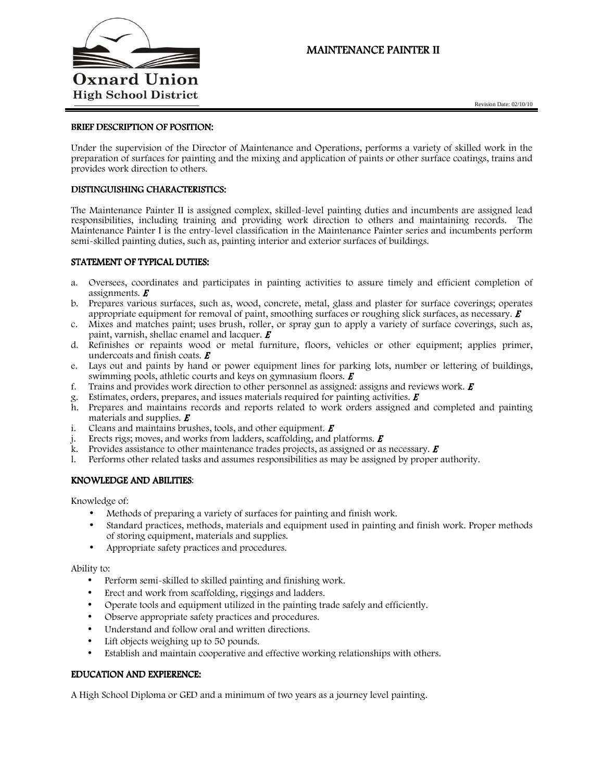

# MAINTENANCE PAINTER II

Revision Date: 02/10/10

### BRIEF DESCRIPTION OF POSITION:

Under the supervision of the Director of Maintenance and Operations, performs a variety of skilled work in the preparation of surfaces for painting and the mixing and application of paints or other surface coatings, trains and provides work direction to others.

## DISTINGUISHING CHARACTERISTICS:

The Maintenance Painter II is assigned complex, skilled-level painting duties and incumbents are assigned lead responsibilities, including training and providing work direction to others and maintaining records. The Maintenance Painter I is the entry-level classification in the Maintenance Painter series and incumbents perform semi-skilled painting duties, such as, painting interior and exterior surfaces of buildings.

#### STATEMENT OF TYPICAL DUTIES:

- a. Oversees, coordinates and participates in painting activities to assure timely and efficient completion of assignments.  $\boldsymbol{E}$
- b. Prepares various surfaces, such as, wood, concrete, metal, glass and plaster for surface coverings; operates appropriate equipment for removal of paint, smoothing surfaces or roughing slick surfaces, as necessary.  $\bm{E}$
- c. Mixes and matches paint; uses brush, roller, or spray gun to apply a variety of surface coverings, such as, paint, varnish, shellac enamel and lacquer.  $\boldsymbol{E}$
- d. Refinishes or repaints wood or metal furniture, floors, vehicles or other equipment; applies primer, undercoats and finish coats.  $E$
- e. Lays out and paints by hand or power equipment lines for parking lots, number or lettering of buildings, swimming pools, athletic courts and keys on gymnasium floors.  $\boldsymbol{E}$
- f. Trains and provides work direction to other personnel as assigned: assigns and reviews work.  $\boldsymbol{E}$
- g. Estimates, orders, prepares, and issues materials required for painting activities.  $\vec{E}$
- h. Prepares and maintains records and reports related to work orders assigned and completed and painting materials and supplies.  $\boldsymbol{E}$
- i. Cleans and maintains brushes, tools, and other equipment.  $\boldsymbol{E}$
- j. Erects rigs; moves, and works from ladders, scaffolding, and platforms.  $\boldsymbol{E}$
- k. Provides assistance to other maintenance trades projects, as assigned or as necessary.  $\vec{E}$
- l. Performs other related tasks and assumes responsibilities as may be assigned by proper authority.

## KNOWLEDGE AND ABILITIES:

Knowledge of:

- Methods of preparing a variety of surfaces for painting and finish work.
- Standard practices, methods, materials and equipment used in painting and finish work. Proper methods of storing equipment, materials and supplies.
- Appropriate safety practices and procedures.

Ability to:

- Perform semi-skilled to skilled painting and finishing work.
- Erect and work from scaffolding, riggings and ladders.
- Operate tools and equipment utilized in the painting trade safely and efficiently.
- Observe appropriate safety practices and procedures.
- Understand and follow oral and written directions.
- Lift objects weighing up to 50 pounds.
- Establish and maintain cooperative and effective working relationships with others.

# EDUCATION AND EXPIERENCE:

A High School Diploma or GED and a minimum of two years as a journey level painting.